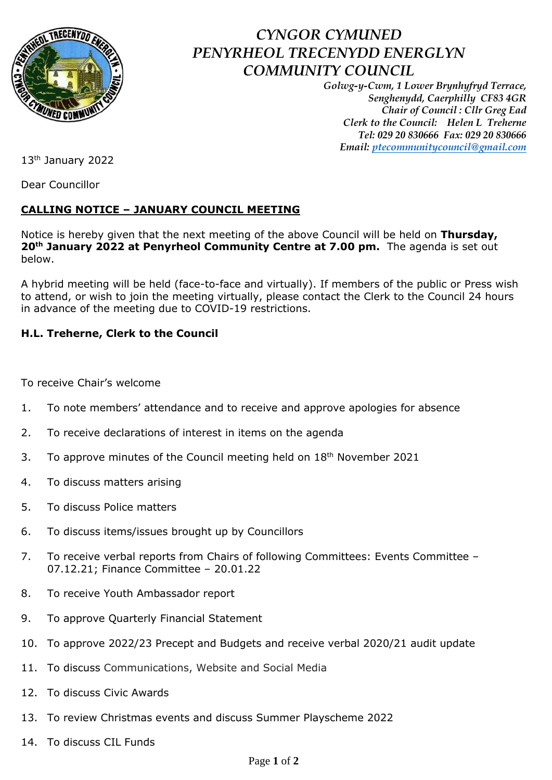

## *CYNGOR CYMUNED PENYRHEOL TRECENYDD ENERGLYN COMMUNITY COUNCIL*

*Golwg-y-Cwm, 1 Lower Brynhyfryd Terrace, Senghenydd, Caerphilly CF83 4GR Chair of Council : Cllr Greg Ead Clerk to the Council: Helen L Treherne Tel: 029 20 830666 Fax: 029 20 830666 Email: [ptecommunitycouncil@gmail.com](mailto:ptecommunitycouncil@gmail.com)*

13th January 2022

Dear Councillor

## **CALLING NOTICE – JANUARY COUNCIL MEETING**

Notice is hereby given that the next meeting of the above Council will be held on **Thursday, 20th January 2022 at Penyrheol Community Centre at 7.00 pm.** The agenda is set out below.

A hybrid meeting will be held (face-to-face and virtually). If members of the public or Press wish to attend, or wish to join the meeting virtually, please contact the Clerk to the Council 24 hours in advance of the meeting due to COVID-19 restrictions.

## **H.L. Treherne, Clerk to the Council**

To receive Chair's welcome

- 1. To note members' attendance and to receive and approve apologies for absence
- 2. To receive declarations of interest in items on the agenda
- 3. To approve minutes of the Council meeting held on  $18<sup>th</sup>$  November 2021
- 4. To discuss matters arising
- 5. To discuss Police matters
- 6. To discuss items/issues brought up by Councillors
- 7. To receive verbal reports from Chairs of following Committees: Events Committee -07.12.21; Finance Committee – 20.01.22
- 8. To receive Youth Ambassador report
- 9. To approve Quarterly Financial Statement
- 10. To approve 2022/23 Precept and Budgets and receive verbal 2020/21 audit update
- 11. To discuss Communications, Website and Social Media
- 12. To discuss Civic Awards
- 13. To review Christmas events and discuss Summer Playscheme 2022
- 14. To discuss CIL Funds